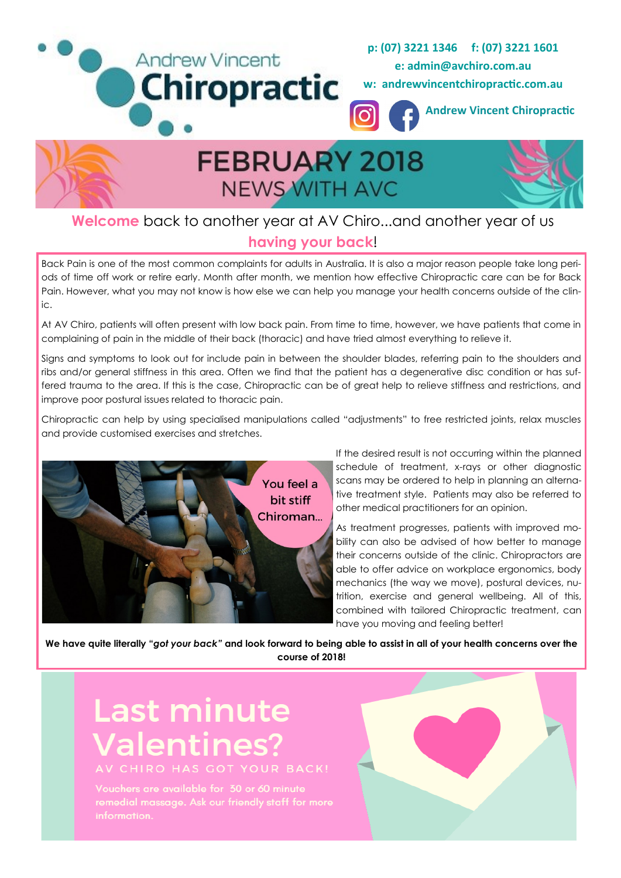

### **Welcome** back to another year at AV Chiro...and another year of us **having your back**!

Back Pain is one of the most common complaints for adults in Australia. It is also a major reason people take long periods of time off work or retire early. Month after month, we mention how effective Chiropractic care can be for Back Pain. However, what you may not know is how else we can help you manage your health concerns outside of the clinic.

At AV Chiro, patients will often present with low back pain. From time to time, however, we have patients that come in complaining of pain in the middle of their back (thoracic) and have tried almost everything to relieve it.

Signs and symptoms to look out for include pain in between the shoulder blades, referring pain to the shoulders and ribs and/or general stiffness in this area. Often we find that the patient has a degenerative disc condition or has suffered trauma to the area. If this is the case, Chiropractic can be of great help to relieve stiffness and restrictions, and improve poor postural issues related to thoracic pain.

Chiropractic can help by using specialised manipulations called "adjustments" to free restricted joints, relax muscles and provide customised exercises and stretches.



If the desired result is not occurring within the planned schedule of treatment, x-rays or other diagnostic scans may be ordered to help in planning an alternative treatment style. Patients may also be referred to other medical practitioners for an opinion.

As treatment progresses, patients with improved mobility can also be advised of how better to manage their concerns outside of the clinic. Chiropractors are able to offer advice on workplace ergonomics, body mechanics (the way we move), postural devices, nutrition, exercise and general wellbeing. All of this, combined with tailored Chiropractic treatment, can have you moving and feeling better!

**We have quite literally "***got your back"* **and look forward to being able to assist in all of your health concerns over the course of 2018!** 

# **Last minute Valentines?**